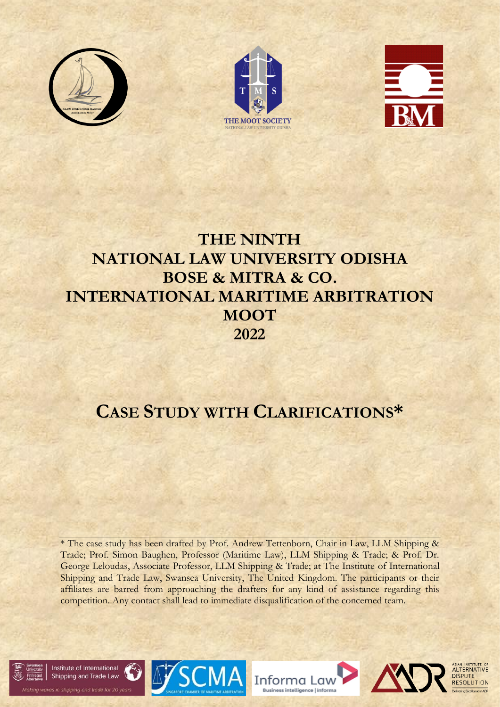





# **THE NINTH NATIONAL LAW UNIVERSITY ODISHA BOSE & MITRA & CO. INTERNATIONAL MARITIME ARBITRATION MOOT 2022**

# **CASE STUDY WITH CLARIFICATIONS\***

\* The case study has been drafted by Prof. Andrew Tettenborn, Chair in Law, LLM Shipping & Trade; Prof. Simon Baughen, Professor (Maritime Law), LLM Shipping & Trade; & Prof. Dr. George Leloudas, Associate Professor, LLM Shipping & Trade; at The Institute of International Shipping and Trade Law, Swansea University, The United Kingdom. The participants or their affiliates are barred from approaching the drafters for any kind of assistance regarding this competition. Any contact shall lead to immediate disqualification of the concerned team.









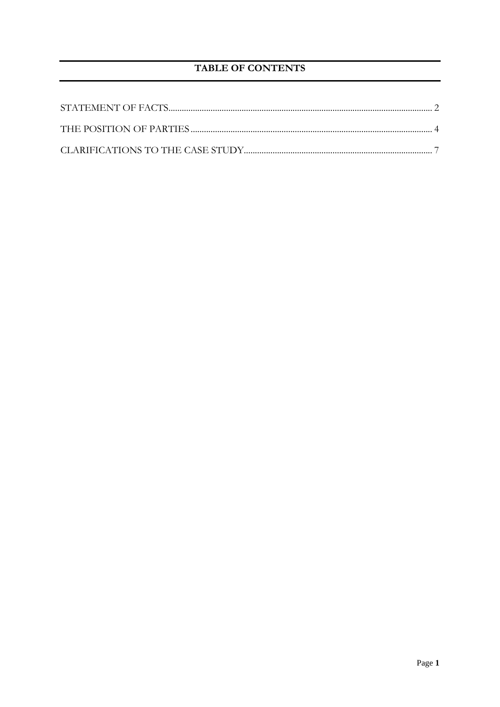## **TABLE OF CONTENTS**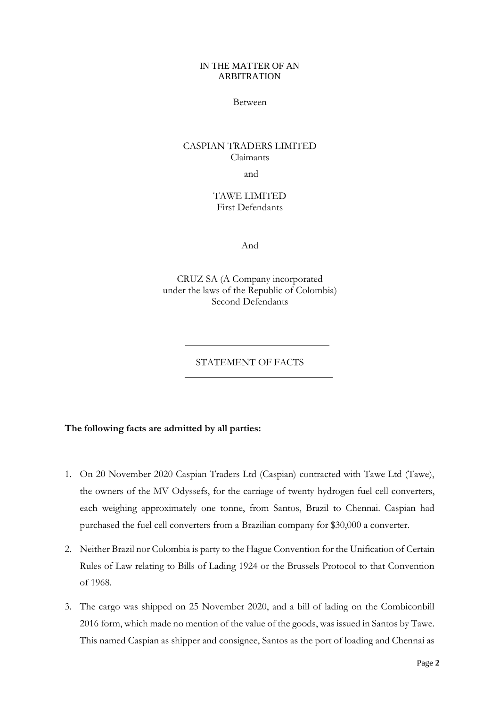#### IN THE MATTER OF AN ARBITRATION

#### Between

# CASPIAN TRADERS LIMITED Claimants

and

## TAWE LIMITED First Defendants

And

CRUZ SA (A Company incorporated under the laws of the Republic of Colombia) Second Defendants

## STATEMENT OF FACTS

#### <span id="page-2-0"></span>**The following facts are admitted by all parties:**

- 1. On 20 November 2020 Caspian Traders Ltd (Caspian) contracted with Tawe Ltd (Tawe), the owners of the MV Odyssefs, for the carriage of twenty hydrogen fuel cell converters, each weighing approximately one tonne, from Santos, Brazil to Chennai. Caspian had purchased the fuel cell converters from a Brazilian company for \$30,000 a converter.
- 2. Neither Brazil nor Colombia is party to the Hague Convention for the Unification of Certain Rules of Law relating to Bills of Lading 1924 or the Brussels Protocol to that Convention of 1968.
- 3. The cargo was shipped on 25 November 2020, and a bill of lading on the Combiconbill 2016 form, which made no mention of the value of the goods, was issued in Santos by Tawe. This named Caspian as shipper and consignee, Santos as the port of loading and Chennai as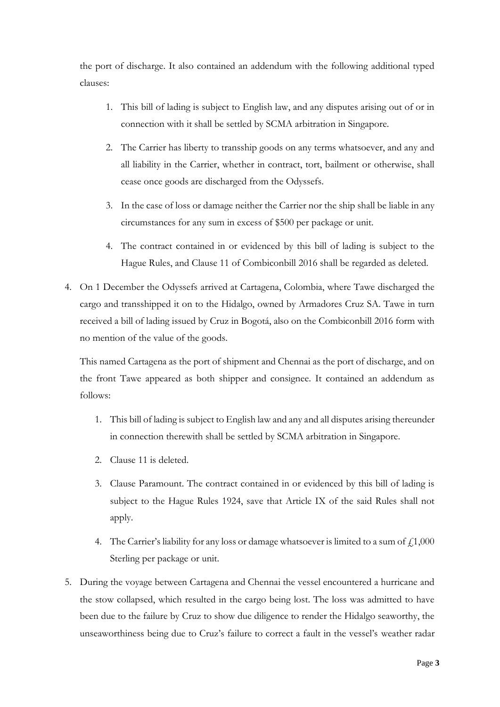the port of discharge. It also contained an addendum with the following additional typed clauses:

- 1. This bill of lading is subject to English law, and any disputes arising out of or in connection with it shall be settled by SCMA arbitration in Singapore.
- 2. The Carrier has liberty to transship goods on any terms whatsoever, and any and all liability in the Carrier, whether in contract, tort, bailment or otherwise, shall cease once goods are discharged from the Odyssefs.
- 3. In the case of loss or damage neither the Carrier nor the ship shall be liable in any circumstances for any sum in excess of \$500 per package or unit.
- 4. The contract contained in or evidenced by this bill of lading is subject to the Hague Rules, and Clause 11 of Combiconbill 2016 shall be regarded as deleted.
- 4. On 1 December the Odyssefs arrived at Cartagena, Colombia, where Tawe discharged the cargo and transshipped it on to the Hidalgo, owned by Armadores Cruz SA. Tawe in turn received a bill of lading issued by Cruz in Bogotá, also on the Combiconbill 2016 form with no mention of the value of the goods.

This named Cartagena as the port of shipment and Chennai as the port of discharge, and on the front Tawe appeared as both shipper and consignee. It contained an addendum as follows:

- 1. This bill of lading is subject to English law and any and all disputes arising thereunder in connection therewith shall be settled by SCMA arbitration in Singapore.
- 2. Clause 11 is deleted.
- 3. Clause Paramount. The contract contained in or evidenced by this bill of lading is subject to the Hague Rules 1924, save that Article IX of the said Rules shall not apply.
- 4. The Carrier's liability for any loss or damage whatsoever is limited to a sum of  $f_11,000$ Sterling per package or unit.
- 5. During the voyage between Cartagena and Chennai the vessel encountered a hurricane and the stow collapsed, which resulted in the cargo being lost. The loss was admitted to have been due to the failure by Cruz to show due diligence to render the Hidalgo seaworthy, the unseaworthiness being due to Cruz's failure to correct a fault in the vessel's weather radar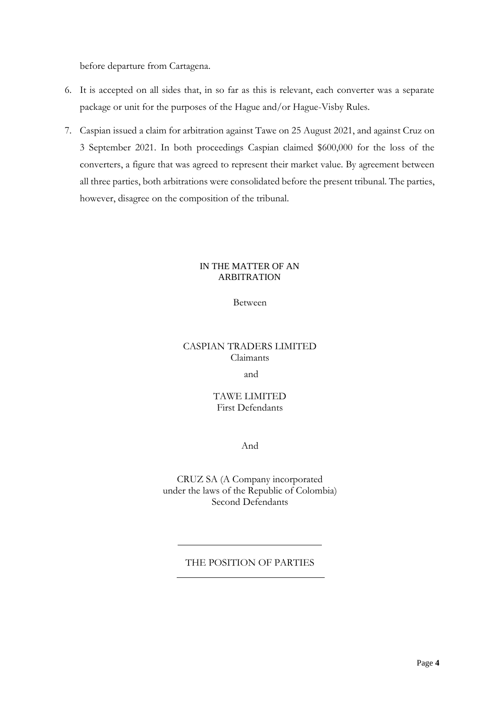before departure from Cartagena.

- 6. It is accepted on all sides that, in so far as this is relevant, each converter was a separate package or unit for the purposes of the Hague and/or Hague-Visby Rules.
- 7. Caspian issued a claim for arbitration against Tawe on 25 August 2021, and against Cruz on 3 September 2021. In both proceedings Caspian claimed \$600,000 for the loss of the converters, a figure that was agreed to represent their market value. By agreement between all three parties, both arbitrations were consolidated before the present tribunal. The parties, however, disagree on the composition of the tribunal.

#### IN THE MATTER OF AN ARBITRATION

## Between

## CASPIAN TRADERS LIMITED Claimants

and

## TAWE LIMITED First Defendants

And

CRUZ SA (A Company incorporated under the laws of the Republic of Colombia) Second Defendants

## <span id="page-4-0"></span>THE POSITION OF PARTIES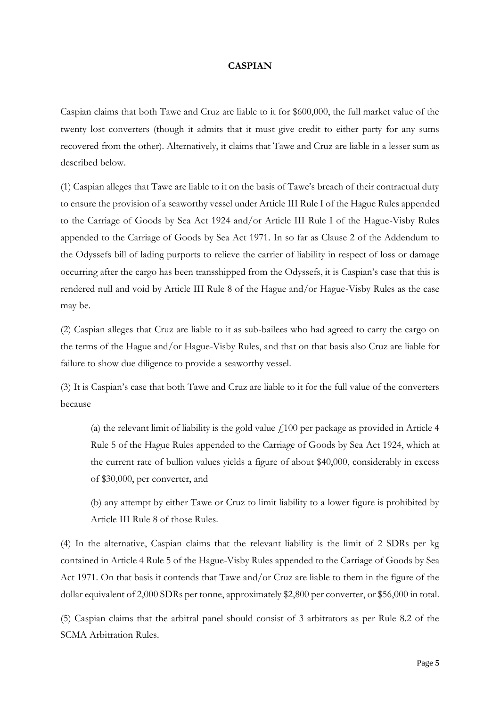#### **CASPIAN**

Caspian claims that both Tawe and Cruz are liable to it for \$600,000, the full market value of the twenty lost converters (though it admits that it must give credit to either party for any sums recovered from the other). Alternatively, it claims that Tawe and Cruz are liable in a lesser sum as described below.

(1) Caspian alleges that Tawe are liable to it on the basis of Tawe's breach of their contractual duty to ensure the provision of a seaworthy vessel under Article III Rule I of the Hague Rules appended to the Carriage of Goods by Sea Act 1924 and/or Article III Rule I of the Hague-Visby Rules appended to the Carriage of Goods by Sea Act 1971. In so far as Clause 2 of the Addendum to the Odyssefs bill of lading purports to relieve the carrier of liability in respect of loss or damage occurring after the cargo has been transshipped from the Odyssefs, it is Caspian's case that this is rendered null and void by Article III Rule 8 of the Hague and/or Hague-Visby Rules as the case may be.

(2) Caspian alleges that Cruz are liable to it as sub-bailees who had agreed to carry the cargo on the terms of the Hague and/or Hague-Visby Rules, and that on that basis also Cruz are liable for failure to show due diligence to provide a seaworthy vessel.

(3) It is Caspian's case that both Tawe and Cruz are liable to it for the full value of the converters because

(a) the relevant limit of liability is the gold value  $\ell$ 100 per package as provided in Article 4 Rule 5 of the Hague Rules appended to the Carriage of Goods by Sea Act 1924, which at the current rate of bullion values yields a figure of about \$40,000, considerably in excess of \$30,000, per converter, and

(b) any attempt by either Tawe or Cruz to limit liability to a lower figure is prohibited by Article III Rule 8 of those Rules.

(4) In the alternative, Caspian claims that the relevant liability is the limit of 2 SDRs per kg contained in Article 4 Rule 5 of the Hague-Visby Rules appended to the Carriage of Goods by Sea Act 1971. On that basis it contends that Tawe and/or Cruz are liable to them in the figure of the dollar equivalent of 2,000 SDRs per tonne, approximately \$2,800 per converter, or \$56,000 in total.

(5) Caspian claims that the arbitral panel should consist of 3 arbitrators as per Rule 8.2 of the SCMA Arbitration Rules.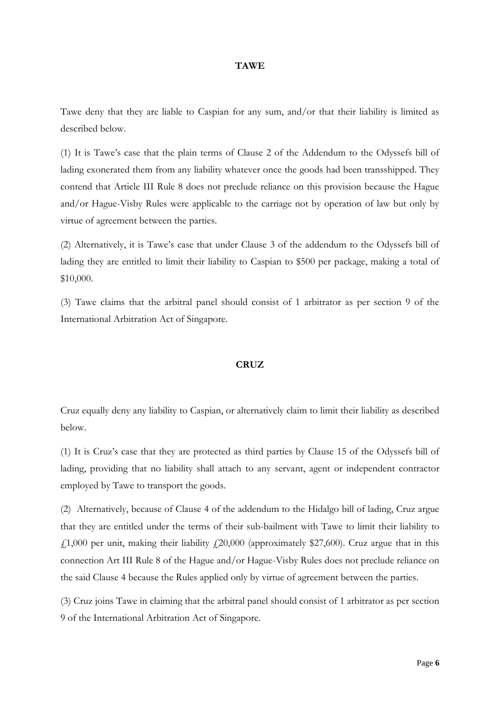#### **TAWE**

Tawe deny that they are liable to Caspian for any sum, and/or that their liability is limited as described below.

(1) It is Tawe's case that the plain terms of Clause 2 of the Addendum to the Odyssefs bill of lading exonerated them from any liability whatever once the goods had been transshipped. They contend that Article III Rule 8 does not preclude reliance on this provision because the Hague and/or Hague-Visby Rules were applicable to the carriage not by operation of law but only by virtue of agreement between the parties.

(2) Alternatively, it is Tawe's case that under Clause 3 of the addendum to the Odyssefs bill of lading they are entitled to limit their liability to Caspian to \$500 per package, making a total of \$10,000.

(3) Tawe claims that the arbitral panel should consist of 1 arbitrator as per section 9 of the International Arbitration Act of Singapore.

#### **CRUZ**

Cruz equally deny any liability to Caspian, or alternatively claim to limit their liability as described below.

(1) It is Cruz's case that they are protected as third parties by Clause 15 of the Odyssefs bill of lading, providing that no liability shall attach to any servant, agent or independent contractor employed by Tawe to transport the goods.

(2) Alternatively, because of Clause 4 of the addendum to the Hidalgo bill of lading, Cruz argue that they are entitled under the terms of their sub-bailment with Tawe to limit their liability to £1,000 per unit, making their liability £20,000 (approximately \$27,600). Cruz argue that in this connection Art III Rule 8 of the Hague and/or Hague-Visby Rules does not preclude reliance on the said Clause 4 because the Rules applied only by virtue of agreement between the parties.

(3) Cruz joins Tawe in claiming that the arbitral panel should consist of 1 arbitrator as per section 9 of the International Arbitration Act of Singapore.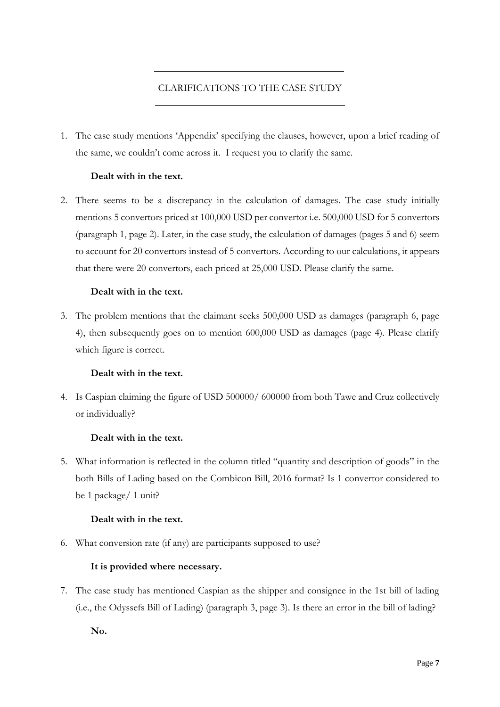## CLARIFICATIONS TO THE CASE STUDY

<span id="page-7-0"></span>1. The case study mentions 'Appendix' specifying the clauses, however, upon a brief reading of the same, we couldn't come across it. I request you to clarify the same.

## **Dealt with in the text.**

2. There seems to be a discrepancy in the calculation of damages. The case study initially mentions 5 convertors priced at 100,000 USD per convertor i.e. 500,000 USD for 5 convertors (paragraph 1, page 2). Later, in the case study, the calculation of damages (pages 5 and 6) seem to account for 20 convertors instead of 5 convertors. According to our calculations, it appears that there were 20 convertors, each priced at 25,000 USD. Please clarify the same.

## **Dealt with in the text.**

3. The problem mentions that the claimant seeks 500,000 USD as damages (paragraph 6, page 4), then subsequently goes on to mention 600,000 USD as damages (page 4). Please clarify which figure is correct.

## **Dealt with in the text.**

4. Is Caspian claiming the figure of USD 500000/ 600000 from both Tawe and Cruz collectively or individually?

## **Dealt with in the text.**

5. What information is reflected in the column titled "quantity and description of goods" in the both Bills of Lading based on the Combicon Bill, 2016 format? Is 1 convertor considered to be 1 package/ 1 unit?

## **Dealt with in the text.**

6. What conversion rate (if any) are participants supposed to use?

## **It is provided where necessary.**

7. The case study has mentioned Caspian as the shipper and consignee in the 1st bill of lading (i.e., the Odyssefs Bill of Lading) (paragraph 3, page 3). Is there an error in the bill of lading?

**No.**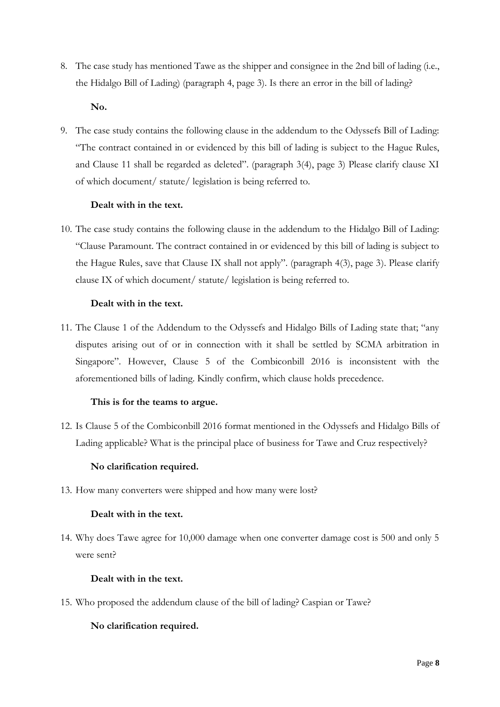8. The case study has mentioned Tawe as the shipper and consignee in the 2nd bill of lading (i.e., the Hidalgo Bill of Lading) (paragraph 4, page 3). Is there an error in the bill of lading?

#### **No.**

9. The case study contains the following clause in the addendum to the Odyssefs Bill of Lading: "The contract contained in or evidenced by this bill of lading is subject to the Hague Rules, and Clause 11 shall be regarded as deleted". (paragraph 3(4), page 3) Please clarify clause XI of which document/ statute/ legislation is being referred to.

## **Dealt with in the text.**

10. The case study contains the following clause in the addendum to the Hidalgo Bill of Lading: "Clause Paramount. The contract contained in or evidenced by this bill of lading is subject to the Hague Rules, save that Clause IX shall not apply". (paragraph 4(3), page 3). Please clarify clause IX of which document/ statute/ legislation is being referred to.

## **Dealt with in the text.**

11. The Clause 1 of the Addendum to the Odyssefs and Hidalgo Bills of Lading state that; "any disputes arising out of or in connection with it shall be settled by SCMA arbitration in Singapore". However, Clause 5 of the Combiconbill 2016 is inconsistent with the aforementioned bills of lading. Kindly confirm, which clause holds precedence.

## **This is for the teams to argue.**

12. Is Clause 5 of the Combiconbill 2016 format mentioned in the Odyssefs and Hidalgo Bills of Lading applicable? What is the principal place of business for Tawe and Cruz respectively?

## **No clarification required.**

13. How many converters were shipped and how many were lost?

#### **Dealt with in the text.**

14. Why does Tawe agree for 10,000 damage when one converter damage cost is 500 and only 5 were sent?

#### **Dealt with in the text.**

15. Who proposed the addendum clause of the bill of lading? Caspian or Tawe?

## **No clarification required.**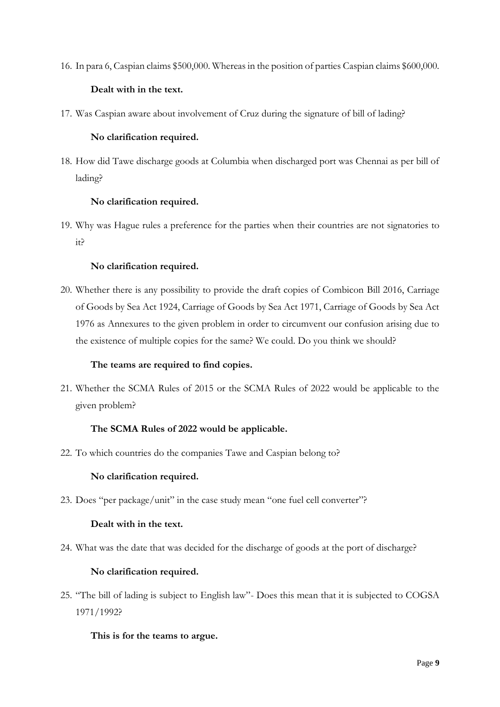16. In para 6, Caspian claims \$500,000. Whereas in the position of parties Caspian claims \$600,000.

## **Dealt with in the text.**

17. Was Caspian aware about involvement of Cruz during the signature of bill of lading?

## **No clarification required.**

18. How did Tawe discharge goods at Columbia when discharged port was Chennai as per bill of lading?

## **No clarification required.**

19. Why was Hague rules a preference for the parties when their countries are not signatories to it?

## **No clarification required.**

20. Whether there is any possibility to provide the draft copies of Combicon Bill 2016, Carriage of Goods by Sea Act 1924, Carriage of Goods by Sea Act 1971, Carriage of Goods by Sea Act 1976 as Annexures to the given problem in order to circumvent our confusion arising due to the existence of multiple copies for the same? We could. Do you think we should?

## **The teams are required to find copies.**

21. Whether the SCMA Rules of 2015 or the SCMA Rules of 2022 would be applicable to the given problem?

## **The SCMA Rules of 2022 would be applicable.**

22. To which countries do the companies Tawe and Caspian belong to?

## **No clarification required.**

23. Does "per package/unit" in the case study mean "one fuel cell converter"?

## **Dealt with in the text.**

24. What was the date that was decided for the discharge of goods at the port of discharge?

## **No clarification required.**

25. "The bill of lading is subject to English law"- Does this mean that it is subjected to COGSA 1971/1992?

## **This is for the teams to argue.**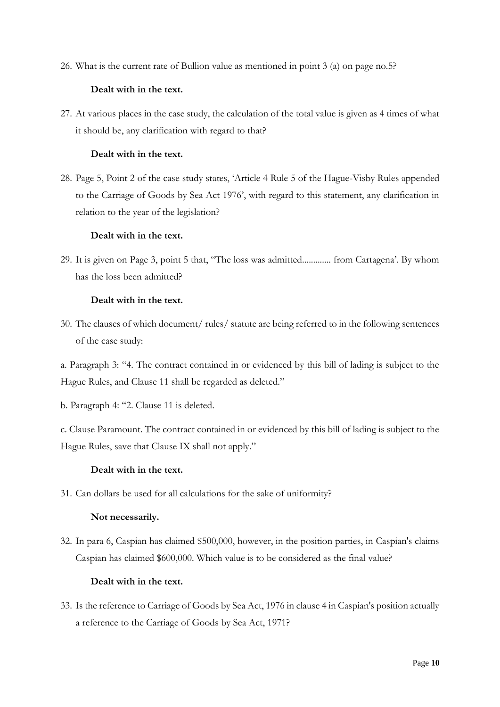26. What is the current rate of Bullion value as mentioned in point 3 (a) on page no.5?

## **Dealt with in the text.**

27. At various places in the case study, the calculation of the total value is given as 4 times of what it should be, any clarification with regard to that?

## **Dealt with in the text.**

28. Page 5, Point 2 of the case study states, 'Article 4 Rule 5 of the Hague-Visby Rules appended to the Carriage of Goods by Sea Act 1976', with regard to this statement, any clarification in relation to the year of the legislation?

#### **Dealt with in the text.**

29. It is given on Page 3, point 5 that, "The loss was admitted............. from Cartagena'. By whom has the loss been admitted?

## **Dealt with in the text.**

30. The clauses of which document/ rules/ statute are being referred to in the following sentences of the case study:

a. Paragraph 3: "4. The contract contained in or evidenced by this bill of lading is subject to the Hague Rules, and Clause 11 shall be regarded as deleted."

b. Paragraph 4: "2. Clause 11 is deleted.

c. Clause Paramount. The contract contained in or evidenced by this bill of lading is subject to the Hague Rules, save that Clause IX shall not apply."

## **Dealt with in the text.**

31. Can dollars be used for all calculations for the sake of uniformity?

#### **Not necessarily.**

32. In para 6, Caspian has claimed \$500,000, however, in the position parties, in Caspian's claims Caspian has claimed \$600,000. Which value is to be considered as the final value?

#### **Dealt with in the text.**

33. Is the reference to Carriage of Goods by Sea Act, 1976 in clause 4 in Caspian's position actually a reference to the Carriage of Goods by Sea Act, 1971?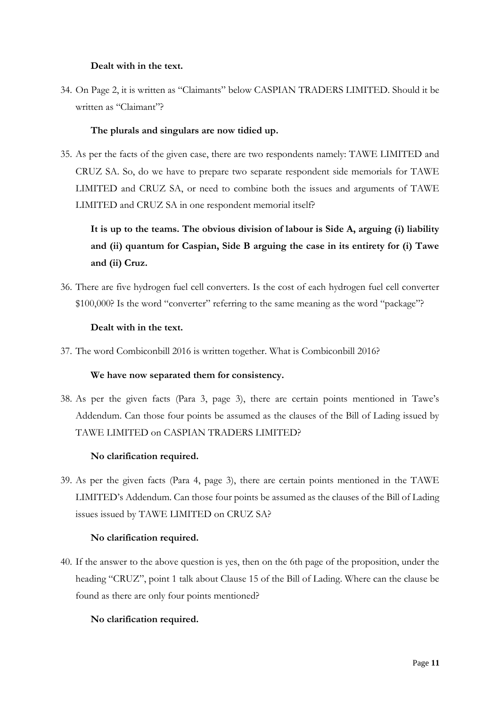## **Dealt with in the text.**

34. On Page 2, it is written as "Claimants" below CASPIAN TRADERS LIMITED. Should it be written as "Claimant"?

## **The plurals and singulars are now tidied up.**

35. As per the facts of the given case, there are two respondents namely: TAWE LIMITED and CRUZ SA. So, do we have to prepare two separate respondent side memorials for TAWE LIMITED and CRUZ SA, or need to combine both the issues and arguments of TAWE LIMITED and CRUZ SA in one respondent memorial itself?

# **It is up to the teams. The obvious division of labour is Side A, arguing (i) liability and (ii) quantum for Caspian, Side B arguing the case in its entirety for (i) Tawe and (ii) Cruz.**

36. There are five hydrogen fuel cell converters. Is the cost of each hydrogen fuel cell converter \$100,000? Is the word "converter" referring to the same meaning as the word "package"?

## **Dealt with in the text.**

37. The word Combiconbill 2016 is written together. What is Combiconbill 2016?

#### **We have now separated them for consistency.**

38. As per the given facts (Para 3, page 3), there are certain points mentioned in Tawe's Addendum. Can those four points be assumed as the clauses of the Bill of Lading issued by TAWE LIMITED on CASPIAN TRADERS LIMITED?

## **No clarification required.**

39. As per the given facts (Para 4, page 3), there are certain points mentioned in the TAWE LIMITED's Addendum. Can those four points be assumed as the clauses of the Bill of Lading issues issued by TAWE LIMITED on CRUZ SA?

#### **No clarification required.**

40. If the answer to the above question is yes, then on the 6th page of the proposition, under the heading "CRUZ", point 1 talk about Clause 15 of the Bill of Lading. Where can the clause be found as there are only four points mentioned?

## **No clarification required.**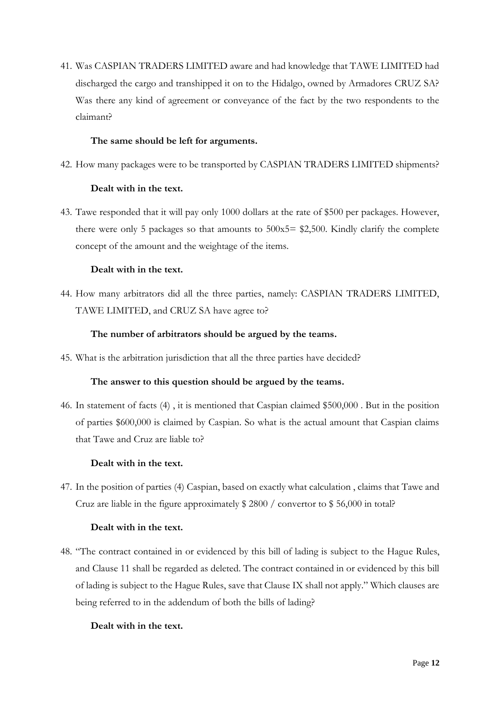41. Was CASPIAN TRADERS LIMITED aware and had knowledge that TAWE LIMITED had discharged the cargo and transhipped it on to the Hidalgo, owned by Armadores CRUZ SA? Was there any kind of agreement or conveyance of the fact by the two respondents to the claimant?

## **The same should be left for arguments.**

42. How many packages were to be transported by CASPIAN TRADERS LIMITED shipments?

## **Dealt with in the text.**

43. Tawe responded that it will pay only 1000 dollars at the rate of \$500 per packages. However, there were only 5 packages so that amounts to 500x5= \$2,500. Kindly clarify the complete concept of the amount and the weightage of the items.

## **Dealt with in the text.**

44. How many arbitrators did all the three parties, namely: CASPIAN TRADERS LIMITED, TAWE LIMITED, and CRUZ SA have agree to?

## **The number of arbitrators should be argued by the teams.**

45. What is the arbitration jurisdiction that all the three parties have decided?

#### **The answer to this question should be argued by the teams.**

46. In statement of facts (4) , it is mentioned that Caspian claimed \$500,000 . But in the position of parties \$600,000 is claimed by Caspian. So what is the actual amount that Caspian claims that Tawe and Cruz are liable to?

#### **Dealt with in the text.**

47. In the position of parties (4) Caspian, based on exactly what calculation , claims that Tawe and Cruz are liable in the figure approximately \$ 2800 / convertor to \$ 56,000 in total?

#### **Dealt with in the text.**

48. "The contract contained in or evidenced by this bill of lading is subject to the Hague Rules, and Clause 11 shall be regarded as deleted. The contract contained in or evidenced by this bill of lading is subject to the Hague Rules, save that Clause IX shall not apply." Which clauses are being referred to in the addendum of both the bills of lading?

#### **Dealt with in the text.**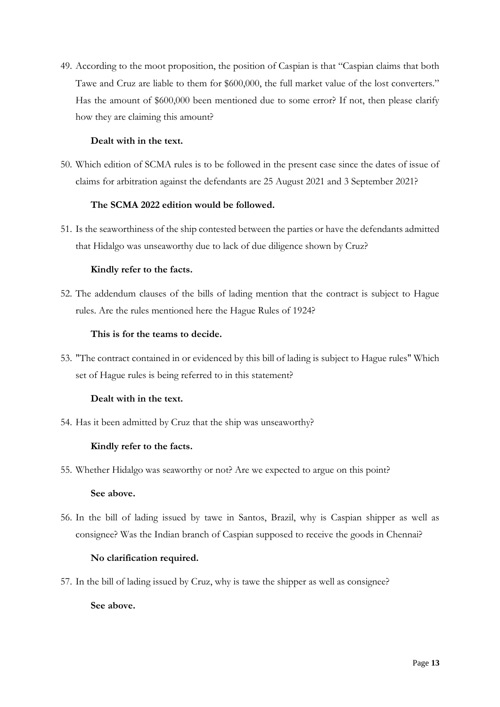49. According to the moot proposition, the position of Caspian is that "Caspian claims that both Tawe and Cruz are liable to them for \$600,000, the full market value of the lost converters." Has the amount of \$600,000 been mentioned due to some error? If not, then please clarify how they are claiming this amount?

## **Dealt with in the text.**

50. Which edition of SCMA rules is to be followed in the present case since the dates of issue of claims for arbitration against the defendants are 25 August 2021 and 3 September 2021?

## **The SCMA 2022 edition would be followed.**

51. Is the seaworthiness of the ship contested between the parties or have the defendants admitted that Hidalgo was unseaworthy due to lack of due diligence shown by Cruz?

## **Kindly refer to the facts.**

52. The addendum clauses of the bills of lading mention that the contract is subject to Hague rules. Are the rules mentioned here the Hague Rules of 1924?

## **This is for the teams to decide.**

53. "The contract contained in or evidenced by this bill of lading is subject to Hague rules" Which set of Hague rules is being referred to in this statement?

## **Dealt with in the text.**

54. Has it been admitted by Cruz that the ship was unseaworthy?

## **Kindly refer to the facts.**

55. Whether Hidalgo was seaworthy or not? Are we expected to argue on this point?

#### **See above.**

56. In the bill of lading issued by tawe in Santos, Brazil, why is Caspian shipper as well as consignee? Was the Indian branch of Caspian supposed to receive the goods in Chennai?

#### **No clarification required.**

57. In the bill of lading issued by Cruz, why is tawe the shipper as well as consignee?

#### **See above.**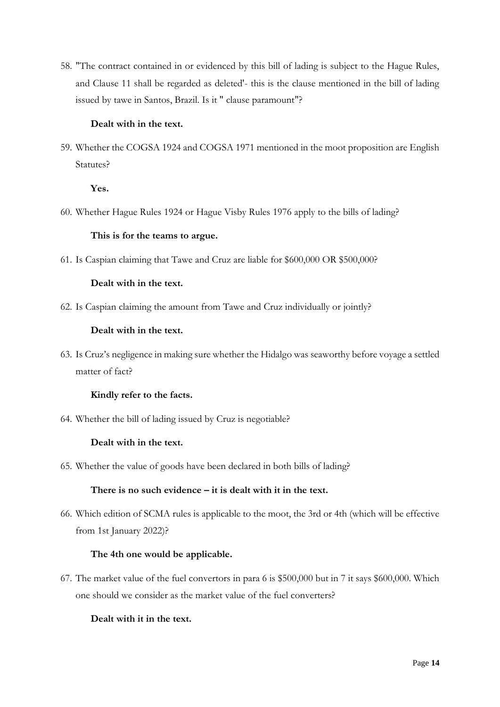58. "The contract contained in or evidenced by this bill of lading is subject to the Hague Rules, and Clause 11 shall be regarded as deleted'- this is the clause mentioned in the bill of lading issued by tawe in Santos, Brazil. Is it " clause paramount"?

## **Dealt with in the text.**

59. Whether the COGSA 1924 and COGSA 1971 mentioned in the moot proposition are English Statutes?

**Yes.**

60. Whether Hague Rules 1924 or Hague Visby Rules 1976 apply to the bills of lading?

## **This is for the teams to argue.**

61. Is Caspian claiming that Tawe and Cruz are liable for \$600,000 OR \$500,000?

## **Dealt with in the text.**

62. Is Caspian claiming the amount from Tawe and Cruz individually or jointly?

## **Dealt with in the text.**

63. Is Cruz's negligence in making sure whether the Hidalgo was seaworthy before voyage a settled matter of fact?

#### **Kindly refer to the facts.**

64. Whether the bill of lading issued by Cruz is negotiable?

#### **Dealt with in the text.**

65. Whether the value of goods have been declared in both bills of lading?

#### **There is no such evidence – it is dealt with it in the text.**

66. Which edition of SCMA rules is applicable to the moot, the 3rd or 4th (which will be effective from 1st January 2022)?

## **The 4th one would be applicable.**

67. The market value of the fuel convertors in para 6 is \$500,000 but in 7 it says \$600,000. Which one should we consider as the market value of the fuel converters?

## **Dealt with it in the text.**